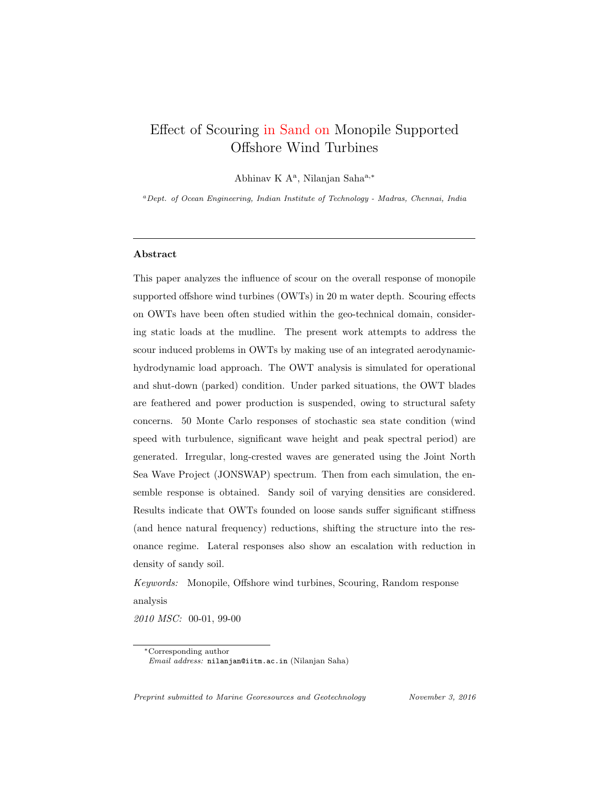## Effect of Scouring in Sand on Monopile Supported Offshore Wind Turbines

Abhinav K A<sup>a</sup>, Nilanjan Saha<sup>a,\*</sup>

<sup>a</sup>Dept. of Ocean Engineering, Indian Institute of Technology - Madras, Chennai, India

#### Abstract

This paper analyzes the influence of scour on the overall response of monopile supported offshore wind turbines (OWTs) in 20 m water depth. Scouring effects on OWTs have been often studied within the geo-technical domain, considering static loads at the mudline. The present work attempts to address the scour induced problems in OWTs by making use of an integrated aerodynamichydrodynamic load approach. The OWT analysis is simulated for operational and shut-down (parked) condition. Under parked situations, the OWT blades are feathered and power production is suspended, owing to structural safety concerns. 50 Monte Carlo responses of stochastic sea state condition (wind speed with turbulence, significant wave height and peak spectral period) are generated. Irregular, long-crested waves are generated using the Joint North Sea Wave Project (JONSWAP) spectrum. Then from each simulation, the ensemble response is obtained. Sandy soil of varying densities are considered. Results indicate that OWTs founded on loose sands suffer significant stiffness (and hence natural frequency) reductions, shifting the structure into the resonance regime. Lateral responses also show an escalation with reduction in density of sandy soil.

Keywords: Monopile, Offshore wind turbines, Scouring, Random response analysis

2010 MSC: 00-01, 99-00

Preprint submitted to Marine Georesources and Geotechnology November 3, 2016

<sup>∗</sup>Corresponding author Email address: nilanjan@iitm.ac.in (Nilanjan Saha)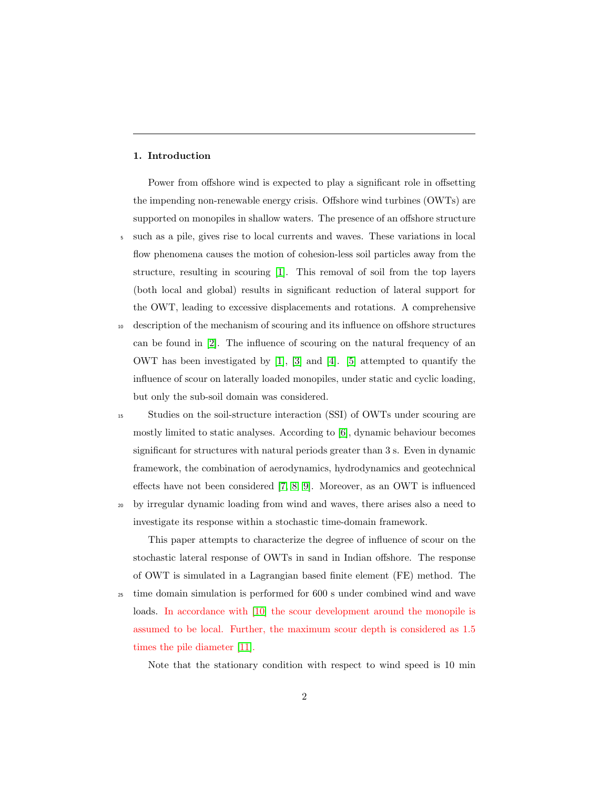#### 1. Introduction

Power from offshore wind is expected to play a significant role in offsetting the impending non-renewable energy crisis. Offshore wind turbines (OWTs) are supported on monopiles in shallow waters. The presence of an offshore structure <sup>5</sup> such as a pile, gives rise to local currents and waves. These variations in local flow phenomena causes the motion of cohesion-less soil particles away from the structure, resulting in scouring [\[1\]](#page-30-0). This removal of soil from the top layers (both local and global) results in significant reduction of lateral support for the OWT, leading to excessive displacements and rotations. A comprehensive

- <sup>10</sup> description of the mechanism of scouring and its influence on offshore structures can be found in [\[2\]](#page-30-1). The influence of scouring on the natural frequency of an OWT has been investigated by [\[1\]](#page-30-0), [\[3\]](#page-30-2) and [\[4\]](#page-30-3). [\[5\]](#page-30-4) attempted to quantify the influence of scour on laterally loaded monopiles, under static and cyclic loading, but only the sub-soil domain was considered.
- <sup>15</sup> Studies on the soil-structure interaction (SSI) of OWTs under scouring are mostly limited to static analyses. According to [\[6\]](#page-30-5), dynamic behaviour becomes significant for structures with natural periods greater than 3 s. Even in dynamic framework, the combination of aerodynamics, hydrodynamics and geotechnical effects have not been considered [\[7,](#page-30-6) [8,](#page-30-7) [9\]](#page-31-0). Moreover, as an OWT is influenced
- <sup>20</sup> by irregular dynamic loading from wind and waves, there arises also a need to investigate its response within a stochastic time-domain framework.

This paper attempts to characterize the degree of influence of scour on the stochastic lateral response of OWTs in sand in Indian offshore. The response of OWT is simulated in a Lagrangian based finite element (FE) method. The

<sup>25</sup> time domain simulation is performed for 600 s under combined wind and wave loads. In accordance with [\[10\]](#page-31-1) the scour development around the monopile is assumed to be local. Further, the maximum scour depth is considered as 1.5 times the pile diameter [\[11\]](#page-31-2).

Note that the stationary condition with respect to wind speed is 10 min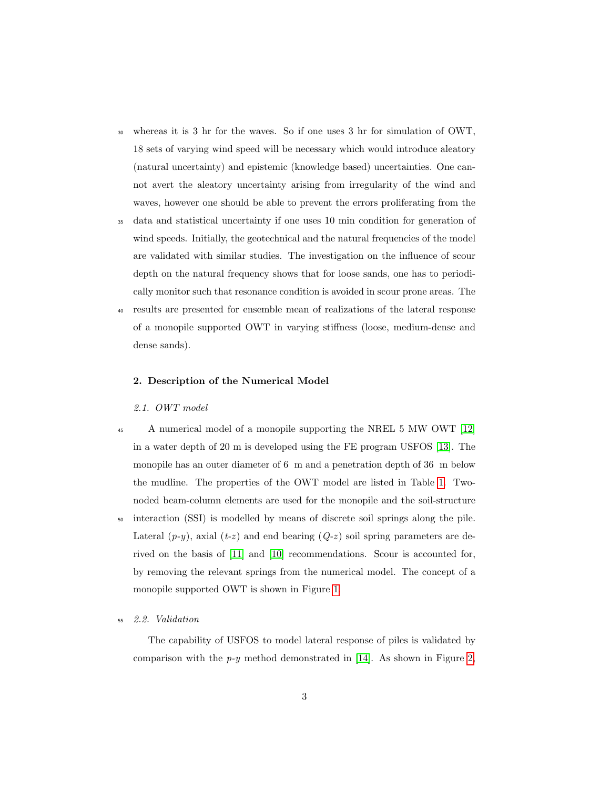- <sup>30</sup> whereas it is 3 hr for the waves. So if one uses 3 hr for simulation of OWT, 18 sets of varying wind speed will be necessary which would introduce aleatory (natural uncertainty) and epistemic (knowledge based) uncertainties. One cannot avert the aleatory uncertainty arising from irregularity of the wind and waves, however one should be able to prevent the errors proliferating from the
- <sup>35</sup> data and statistical uncertainty if one uses 10 min condition for generation of wind speeds. Initially, the geotechnical and the natural frequencies of the model are validated with similar studies. The investigation on the influence of scour depth on the natural frequency shows that for loose sands, one has to periodically monitor such that resonance condition is avoided in scour prone areas. The
- <sup>40</sup> results are presented for ensemble mean of realizations of the lateral response of a monopile supported OWT in varying stiffness (loose, medium-dense and dense sands).

#### 2. Description of the Numerical Model

#### 2.1. OWT model

- <sup>45</sup> A numerical model of a monopile supporting the NREL 5 MW OWT [\[12\]](#page-31-3) in a water depth of 20 m is developed using the FE program USFOS [\[13\]](#page-31-4). The monopile has an outer diameter of 6 m and a penetration depth of 36 m below the mudline. The properties of the OWT model are listed in Table [1.](#page-3-0) Twonoded beam-column elements are used for the monopile and the soil-structure
- <sup>50</sup> interaction (SSI) is modelled by means of discrete soil springs along the pile. Lateral  $(p-y)$ , axial  $(t-z)$  and end bearing  $(Q-z)$  soil spring parameters are derived on the basis of [\[11\]](#page-31-2) and [\[10\]](#page-31-1) recommendations. Scour is accounted for, by removing the relevant springs from the numerical model. The concept of a monopile supported OWT is shown in Figure [1.](#page-3-1)

#### <sup>55</sup> 2.2. Validation

The capability of USFOS to model lateral response of piles is validated by comparison with the  $p-y$  method demonstrated in [\[14\]](#page-31-5). As shown in Figure [2,](#page-4-0)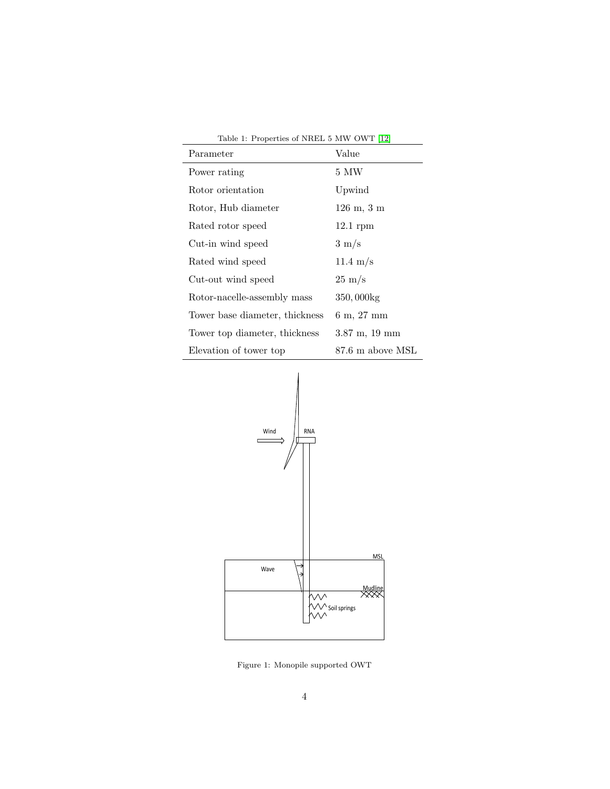<span id="page-3-0"></span>

| Table 1: Properties of NREL 5 MW OWT [12] |                                     |  |  |  |
|-------------------------------------------|-------------------------------------|--|--|--|
| Parameter                                 | Value                               |  |  |  |
| Power rating                              | 5 MW                                |  |  |  |
| Rotor orientation                         | Upwind                              |  |  |  |
| Rotor, Hub diameter                       | $126 \; \text{m}, \; 3 \; \text{m}$ |  |  |  |
| Rated rotor speed                         | $12.1$ rpm                          |  |  |  |
| Cut-in wind speed                         | $3 \text{ m/s}$                     |  |  |  |
| Rated wind speed                          | $11.4 \text{ m/s}$                  |  |  |  |
| Cut-out wind speed                        | $25 \text{ m/s}$                    |  |  |  |
| Rotor-nacelle-assembly mass               | $350,000$ kg                        |  |  |  |
| Tower base diameter, thickness            | 6 m, 27 mm                          |  |  |  |
| Tower top diameter, thickness             | $3.87 \text{ m}$ , 19 mm            |  |  |  |
| Elevation of tower top                    | 87.6 m above MSL                    |  |  |  |



<span id="page-3-1"></span>Figure 1: Monopile supported OWT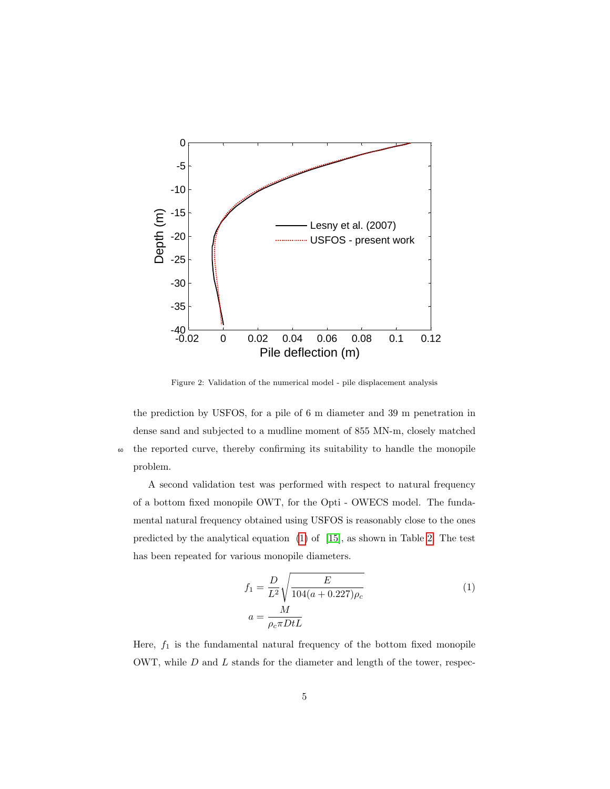

<span id="page-4-0"></span>Figure 2: Validation of the numerical model - pile displacement analysis

the prediction by USFOS, for a pile of 6 m diameter and 39 m penetration in dense sand and subjected to a mudline moment of 855 MN-m, closely matched <sup>60</sup> the reported curve, thereby confirming its suitability to handle the monopile problem.

A second validation test was performed with respect to natural frequency of a bottom fixed monopile OWT, for the Opti - OWECS model. The fundamental natural frequency obtained using USFOS is reasonably close to the ones predicted by the analytical equation [\(1\)](#page-4-1) of [\[15\]](#page-31-6), as shown in Table [2.](#page-5-0) The test has been repeated for various monopile diameters.

<span id="page-4-1"></span>
$$
f_1 = \frac{D}{L^2} \sqrt{\frac{E}{104(a+0.227)\rho_c}}
$$
  
\n
$$
a = \frac{M}{\rho_c \pi D t L}
$$
\n(1)

Here,  $f_1$  is the fundamental natural frequency of the bottom fixed monopile OWT, while  $D$  and  $L$  stands for the diameter and length of the tower, respec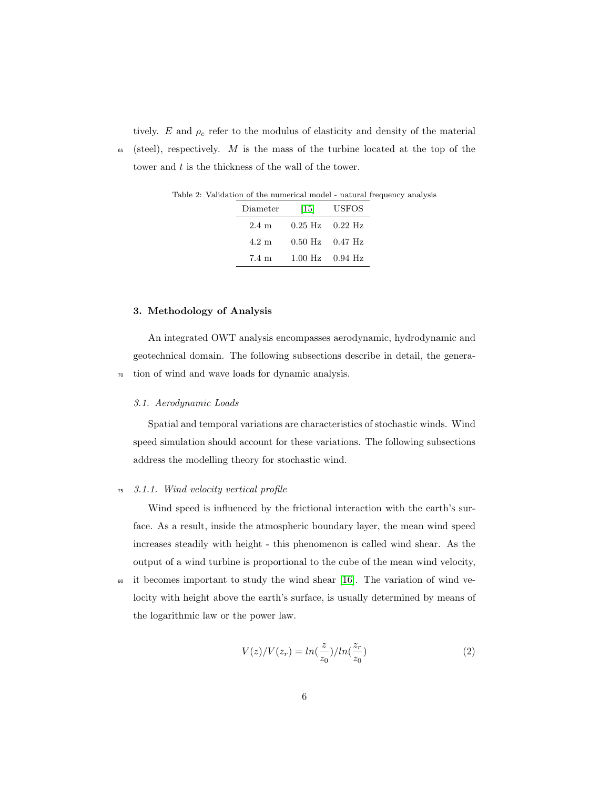tively. E and  $\rho_c$  refer to the modulus of elasticity and density of the material

 $65$  (steel), respectively. M is the mass of the turbine located at the top of the tower and t is the thickness of the wall of the tower.

<span id="page-5-0"></span>

| vandoton of the numerical model maturat hequein |                     |                                                     |  |  |
|-------------------------------------------------|---------------------|-----------------------------------------------------|--|--|
|                                                 | Diameter [15] USFOS |                                                     |  |  |
|                                                 |                     | $2.4 \text{ m}$ $0.25 \text{ Hz}$ $0.22 \text{ Hz}$ |  |  |
|                                                 |                     | $4.2 \text{ m}$ $0.50 \text{ Hz}$ $0.47 \text{ Hz}$ |  |  |
|                                                 |                     |                                                     |  |  |

7.4 m 1.00 Hz 0.94 Hz

Table 2: Validation of the numerical model - natural frequency analysis

#### 3. Methodology of Analysis

An integrated OWT analysis encompasses aerodynamic, hydrodynamic and geotechnical domain. The following subsections describe in detail, the genera-<sup>70</sup> tion of wind and wave loads for dynamic analysis.

#### 3.1. Aerodynamic Loads

Spatial and temporal variations are characteristics of stochastic winds. Wind speed simulation should account for these variations. The following subsections address the modelling theory for stochastic wind.

#### <sup>75</sup> 3.1.1. Wind velocity vertical profile

Wind speed is influenced by the frictional interaction with the earth's surface. As a result, inside the atmospheric boundary layer, the mean wind speed increases steadily with height - this phenomenon is called wind shear. As the output of a wind turbine is proportional to the cube of the mean wind velocity,

<sup>80</sup> it becomes important to study the wind shear [\[16\]](#page-31-7). The variation of wind velocity with height above the earth's surface, is usually determined by means of the logarithmic law or the power law.

$$
V(z)/V(z_r) = \ln(\frac{z}{z_0})/\ln(\frac{z_r}{z_0})
$$
\n(2)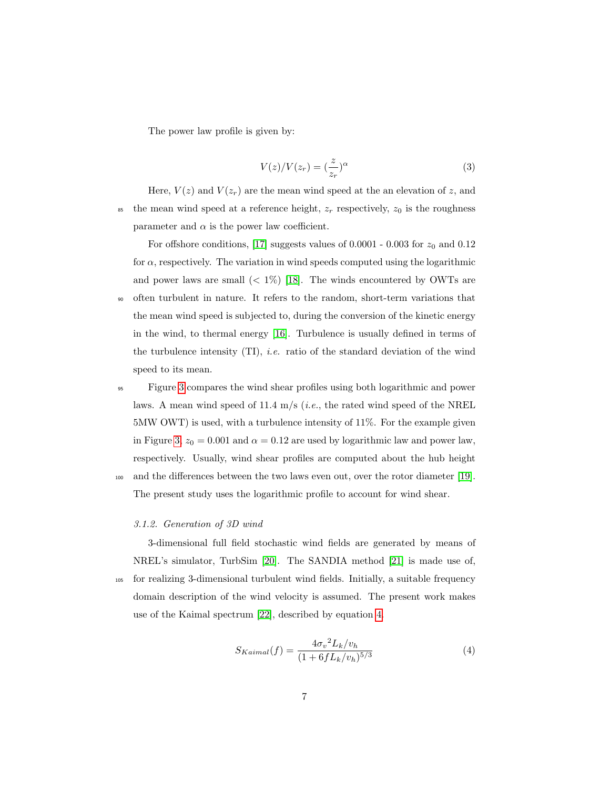The power law profile is given by:

$$
V(z)/V(z_r) = \left(\frac{z}{z_r}\right)^{\alpha} \tag{3}
$$

Here,  $V(z)$  and  $V(z<sub>r</sub>)$  are the mean wind speed at the an elevation of z, and <sup>85</sup> the mean wind speed at a reference height,  $z_r$  respectively,  $z_0$  is the roughness parameter and  $\alpha$  is the power law coefficient.

For offshore conditions, [\[17\]](#page-31-8) suggests values of 0.0001 - 0.003 for  $z_0$  and 0.12 for  $\alpha$ , respectively. The variation in wind speeds computed using the logarithmic and power laws are small  $(< 1\%)$  [\[18\]](#page-31-9). The winds encountered by OWTs are <sup>90</sup> often turbulent in nature. It refers to the random, short-term variations that the mean wind speed is subjected to, during the conversion of the kinetic energy in the wind, to thermal energy [\[16\]](#page-31-7). Turbulence is usually defined in terms of the turbulence intensity  $(TI)$ , *i.e.* ratio of the standard deviation of the wind speed to its mean.

<sup>95</sup> Figure [3](#page-7-0) compares the wind shear profiles using both logarithmic and power laws. A mean wind speed of 11.4 m/s (*i.e.*, the rated wind speed of the NREL 5MW OWT) is used, with a turbulence intensity of 11%. For the example given in Figure [3,](#page-7-0)  $z_0 = 0.001$  and  $\alpha = 0.12$  are used by logarithmic law and power law, respectively. Usually, wind shear profiles are computed about the hub height <sup>100</sup> and the differences between the two laws even out, over the rotor diameter [\[19\]](#page-32-0).

The present study uses the logarithmic profile to account for wind shear.

#### 3.1.2. Generation of 3D wind

<span id="page-6-0"></span>3-dimensional full field stochastic wind fields are generated by means of NREL's simulator, TurbSim [\[20\]](#page-32-1). The SANDIA method [\[21\]](#page-32-2) is made use of, <sup>105</sup> for realizing 3-dimensional turbulent wind fields. Initially, a suitable frequency domain description of the wind velocity is assumed. The present work makes use of the Kaimal spectrum [\[22\]](#page-32-3), described by equation [4.](#page-6-0)

$$
S_{Kaimal}(f) = \frac{4{\sigma_v}^2 L_k / v_h}{(1 + 6f L_k / v_h)^{5/3}}
$$
(4)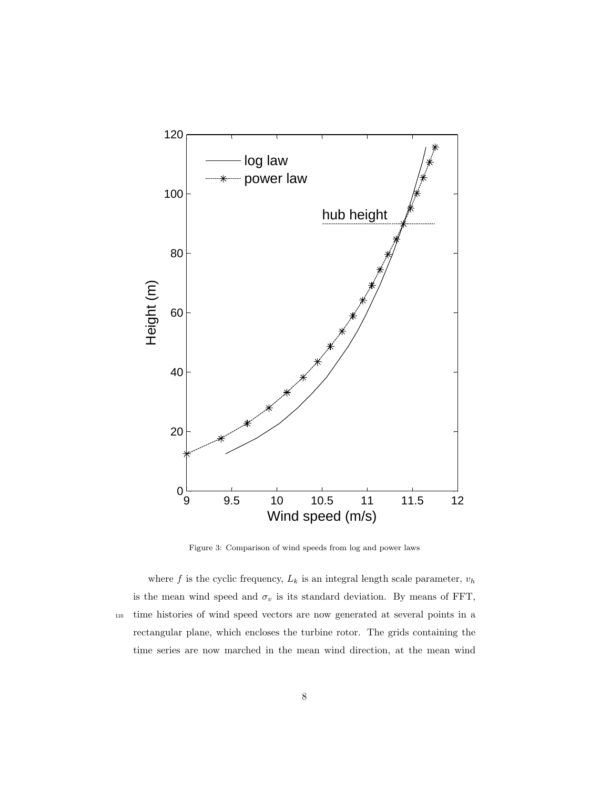

<span id="page-7-0"></span>Figure 3: Comparison of wind speeds from log and power laws

where  $f$  is the cyclic frequency,  $L_k$  is an integral length scale parameter,  $v_h$ is the mean wind speed and  $\sigma_v$  is its standard deviation. By means of FFT, <sup>110</sup> time histories of wind speed vectors are now generated at several points in a rectangular plane, which encloses the turbine rotor. The grids containing the time series are now marched in the mean wind direction, at the mean wind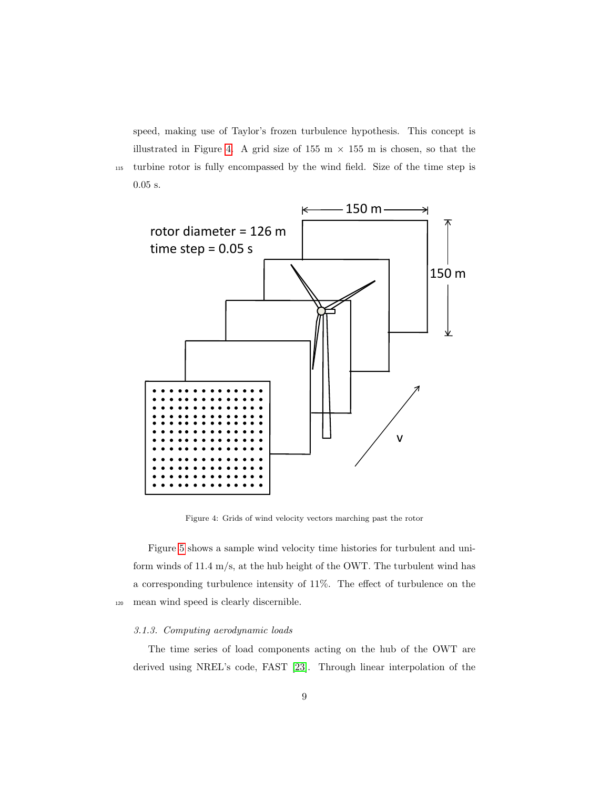speed, making use of Taylor's frozen turbulence hypothesis. This concept is illustrated in Figure [4.](#page-8-0) A grid size of 155 m  $\times$  155 m is chosen, so that the <sup>115</sup> turbine rotor is fully encompassed by the wind field. Size of the time step is 0.05 s.



<span id="page-8-0"></span>Figure 4: Grids of wind velocity vectors marching past the rotor

Figure [5](#page-9-0) shows a sample wind velocity time histories for turbulent and uniform winds of 11.4 m/s, at the hub height of the OWT. The turbulent wind has a corresponding turbulence intensity of 11%. The effect of turbulence on the <sup>120</sup> mean wind speed is clearly discernible.

#### 3.1.3. Computing aerodynamic loads

The time series of load components acting on the hub of the OWT are derived using NREL's code, FAST [\[23\]](#page-32-4). Through linear interpolation of the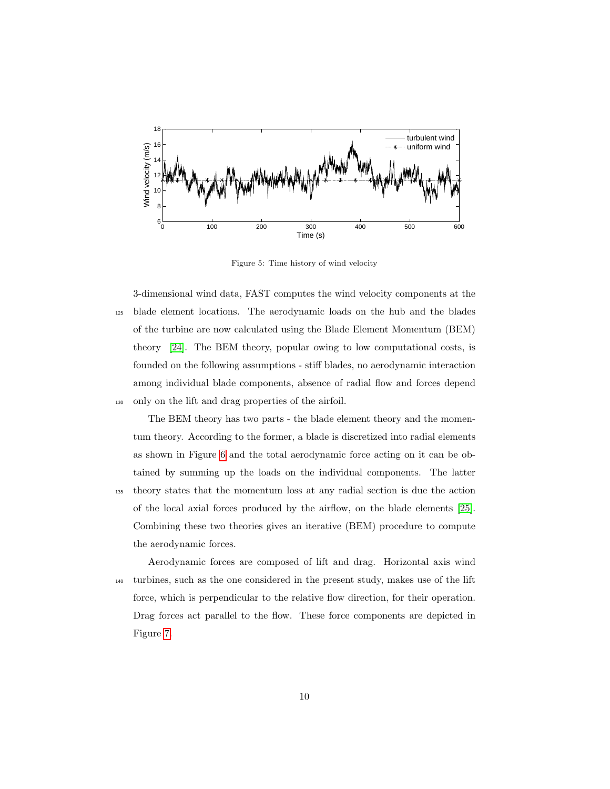

<span id="page-9-0"></span>Figure 5: Time history of wind velocity

3-dimensional wind data, FAST computes the wind velocity components at the <sup>125</sup> blade element locations. The aerodynamic loads on the hub and the blades of the turbine are now calculated using the Blade Element Momentum (BEM) theory [\[24\]](#page-32-5). The BEM theory, popular owing to low computational costs, is founded on the following assumptions - stiff blades, no aerodynamic interaction among individual blade components, absence of radial flow and forces depend <sup>130</sup> only on the lift and drag properties of the airfoil.

The BEM theory has two parts - the blade element theory and the momentum theory. According to the former, a blade is discretized into radial elements as shown in Figure [6](#page-10-0) and the total aerodynamic force acting on it can be obtained by summing up the loads on the individual components. The latter

<sup>135</sup> theory states that the momentum loss at any radial section is due the action of the local axial forces produced by the airflow, on the blade elements [\[25\]](#page-32-6). Combining these two theories gives an iterative (BEM) procedure to compute the aerodynamic forces.

Aerodynamic forces are composed of lift and drag. Horizontal axis wind <sup>140</sup> turbines, such as the one considered in the present study, makes use of the lift force, which is perpendicular to the relative flow direction, for their operation. Drag forces act parallel to the flow. These force components are depicted in Figure [7.](#page-11-0)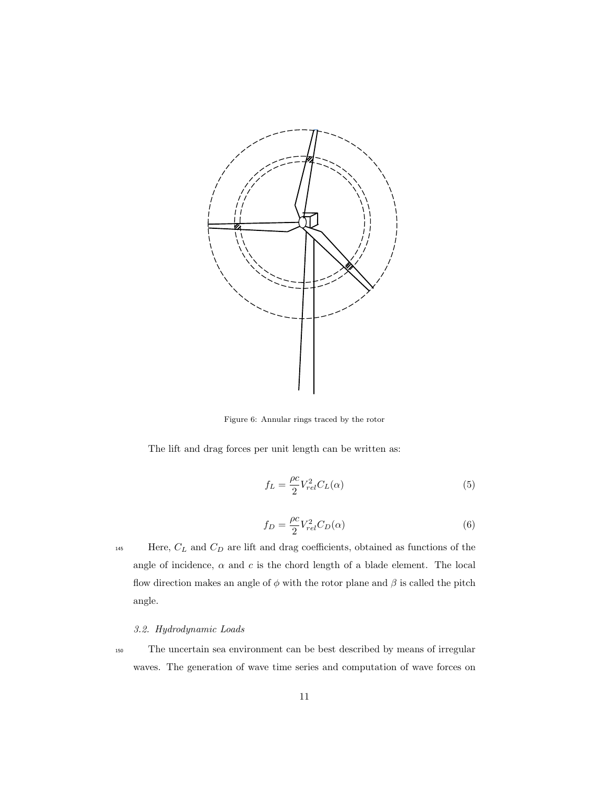

<span id="page-10-0"></span>Figure 6: Annular rings traced by the rotor

The lift and drag forces per unit length can be written as:

$$
f_L = \frac{\rho c}{2} V_{rel}^2 C_L(\alpha) \tag{5}
$$

$$
f_D = \frac{\rho c}{2} V_{rel}^2 C_D(\alpha) \tag{6}
$$

145 Here,  $C_L$  and  $C_D$  are lift and drag coefficients, obtained as functions of the angle of incidence,  $\alpha$  and  $c$  is the chord length of a blade element. The local flow direction makes an angle of  $\phi$  with the rotor plane and  $\beta$  is called the pitch angle.

### 3.2. Hydrodynamic Loads

<sup>150</sup> The uncertain sea environment can be best described by means of irregular waves. The generation of wave time series and computation of wave forces on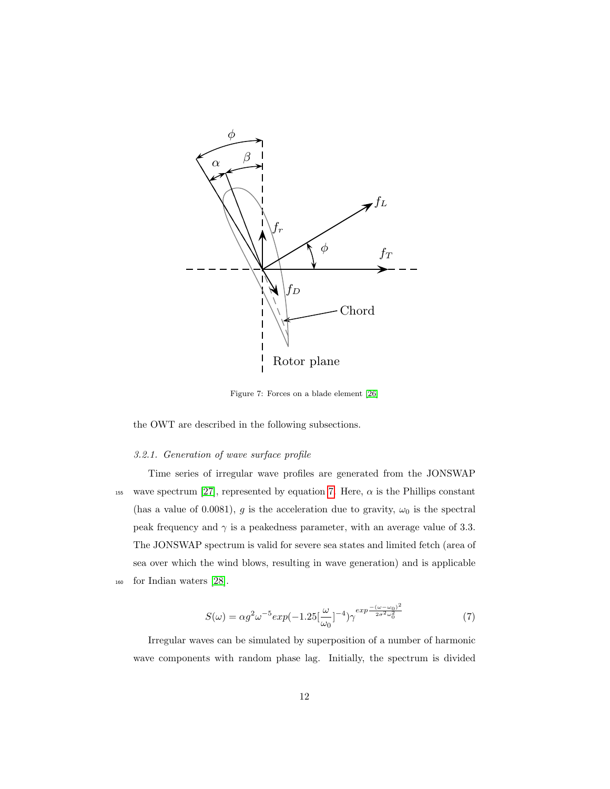

<span id="page-11-0"></span>Figure 7: Forces on a blade element [\[26\]](#page-32-7)

the OWT are described in the following subsections.

# $3.2.1.$  Generation of wave surface profile

Time series of irregular wave profiles are generated from the JONSWAP  $T$  and drag for are generally expressed in terms are generated in the  $\sigma$  of  $\sigma$ . the lift and depending  $\lceil P_1 \rceil$ , represented by equation 1. Here, and is the 1 Hillips constant (has a value of 0.0081), g is the acceleration due to gravity,  $\omega_0$  is the spectral frequency and  $\gamma$  is a peakedness parameter, with an average value of 3.3.<br>The JONSWAP spectrum is valid for severe sea states and limited fetch (area of FIRE JONSWAP spectrum is vand for severe sea states and filmted fetch (area of sea over which the wind blows, resulting in wave generation) and is applicable where c is the chord length of the blade element. Both lift and drag coefficients and drag coefficients  $\mathcal{L}(\mathcal{A})$ The JONSWAP spectrum is valid for severe sea states and limited fetch (area of <sup>160</sup> for Indian waters [\[28\]](#page-32-9).

$$
S(\omega) = \alpha g^2 \omega^{-5} exp(-1.25 \left[\frac{\omega}{\omega_0}\right]^{-4}) \gamma^{exp \frac{-(\omega - \omega_0)^2}{2\sigma^2 \omega_0^2}}
$$
(7)

<span id="page-11-1"></span>wave components with random phase lag. Initially, the spectrum is divided Irregular waves can be simulated by superposition of a number of harmonic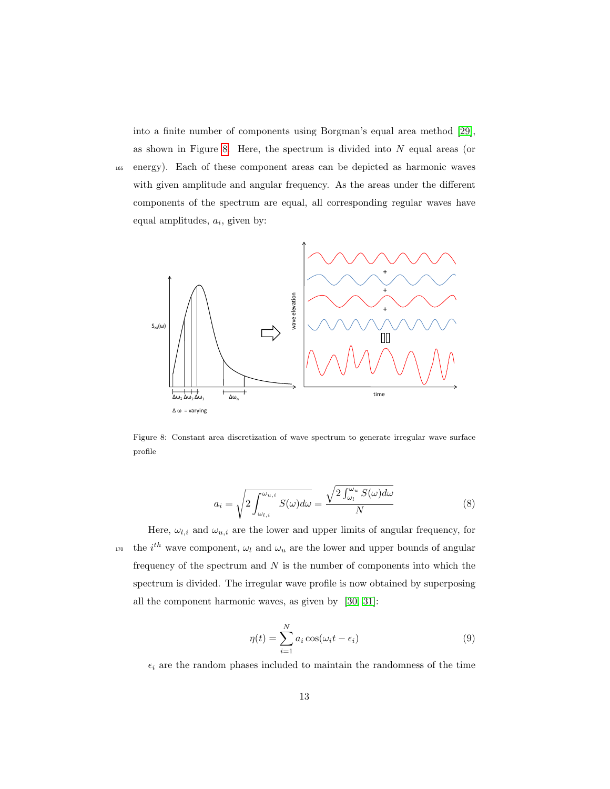into a finite number of components using Borgman's equal area method [\[29\]](#page-32-10), as shown in Figure [8.](#page-12-0) Here, the spectrum is divided into  $N$  equal areas (or <sup>165</sup> energy). Each of these component areas can be depicted as harmonic waves with given amplitude and angular frequency. As the areas under the different components of the spectrum are equal, all corresponding regular waves have equal amplitudes,  $a_i$ , given by:



<span id="page-12-0"></span>Figure 8: Constant area discretization of wave spectrum to generate irregular wave surface profile

$$
a_i = \sqrt{2 \int_{\omega_{l,i}}^{\omega_{u,i}} S(\omega) d\omega} = \frac{\sqrt{2 \int_{\omega_l}^{\omega_u} S(\omega) d\omega}}{N}
$$
(8)

Here,  $\omega_{l,i}$  and  $\omega_{u,i}$  are the lower and upper limits of angular frequency, for <sup>170</sup> the i<sup>th</sup> wave component,  $\omega_l$  and  $\omega_u$  are the lower and upper bounds of angular frequency of the spectrum and  $N$  is the number of components into which the spectrum is divided. The irregular wave profile is now obtained by superposing all the component harmonic waves, as given by [\[30,](#page-33-0) [31\]](#page-33-1):

$$
\eta(t) = \sum_{i=1}^{N} a_i \cos(\omega_i t - \epsilon_i)
$$
\n(9)

 $\epsilon_i$  are the random phases included to maintain the randomness of the time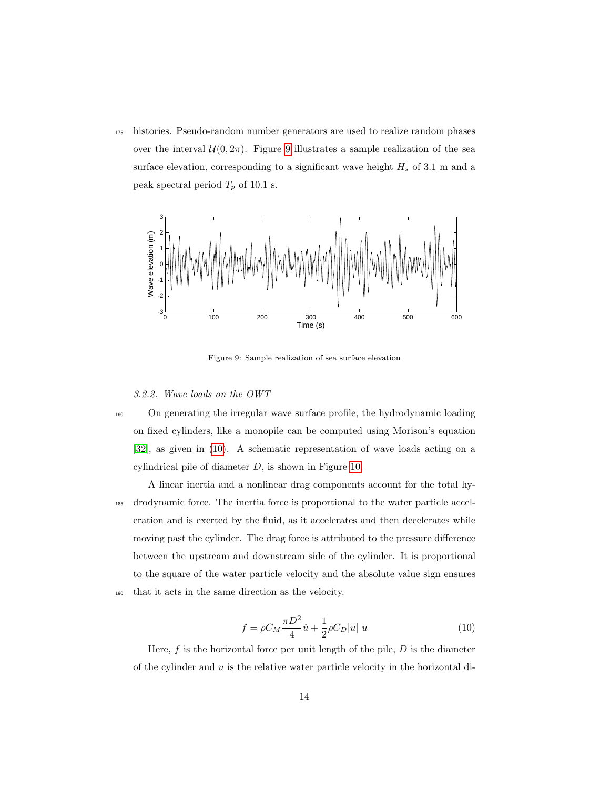<sup>175</sup> histories. Pseudo-random number generators are used to realize random phases over the interval  $U(0, 2\pi)$ . Figure [9](#page-13-0) illustrates a sample realization of the sea surface elevation, corresponding to a significant wave height  $H_s$  of 3.1 m and a peak spectral period  $T_p$  of 10.1 s.



<span id="page-13-0"></span>Figure 9: Sample realization of sea surface elevation

3.2.2. Wave loads on the OWT

<sup>180</sup> On generating the irregular wave surface profile, the hydrodynamic loading on fixed cylinders, like a monopile can be computed using Morison's equation [\[32\]](#page-33-2), as given in [\(10\)](#page-13-1). A schematic representation of wave loads acting on a cylindrical pile of diameter  $D$ , is shown in Figure [10.](#page-14-0)

A linear inertia and a nonlinear drag components account for the total hy-<sup>185</sup> drodynamic force. The inertia force is proportional to the water particle acceleration and is exerted by the fluid, as it accelerates and then decelerates while moving past the cylinder. The drag force is attributed to the pressure difference between the upstream and downstream side of the cylinder. It is proportional to the square of the water particle velocity and the absolute value sign ensures <sup>190</sup> that it acts in the same direction as the velocity.

$$
f = \rho C_M \frac{\pi D^2}{4} \dot{u} + \frac{1}{2} \rho C_D |u| u \tag{10}
$$

<span id="page-13-1"></span>Here,  $f$  is the horizontal force per unit length of the pile,  $D$  is the diameter of the cylinder and  $u$  is the relative water particle velocity in the horizontal di-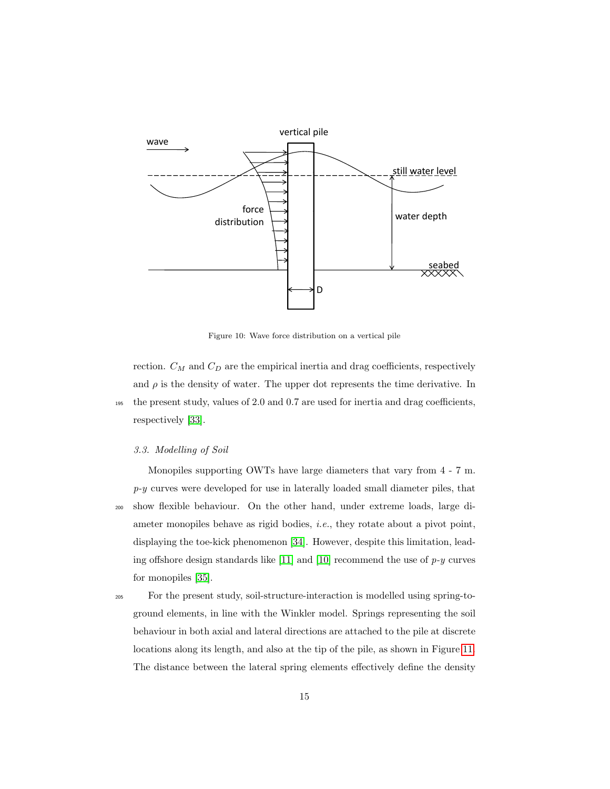

<span id="page-14-0"></span>Figure 10: Wave force distribution on a vertical pile

rection.  $C_M$  and  $C_D$  are the empirical inertia and drag coefficients, respectively and  $\rho$  is the density of water. The upper dot represents the time derivative. In <sup>195</sup> the present study, values of 2.0 and 0.7 are used for inertia and drag coefficients, respectively [\[33\]](#page-33-3).

#### 3.3. Modelling of Soil

Monopiles supporting OWTs have large diameters that vary from 4 - 7 m.  $p-y$  curves were developed for use in laterally loaded small diameter piles, that <sup>200</sup> show flexible behaviour. On the other hand, under extreme loads, large diameter monopiles behave as rigid bodies, i.e., they rotate about a pivot point, displaying the toe-kick phenomenon [\[34\]](#page-33-4). However, despite this limitation, lead-ing offshore design standards like [\[11\]](#page-31-2) and [\[10\]](#page-31-1) recommend the use of  $p-y$  curves for monopiles [\[35\]](#page-33-5).

<sup>205</sup> For the present study, soil-structure-interaction is modelled using spring-toground elements, in line with the Winkler model. Springs representing the soil behaviour in both axial and lateral directions are attached to the pile at discrete locations along its length, and also at the tip of the pile, as shown in Figure [11.](#page-15-0) The distance between the lateral spring elements effectively define the density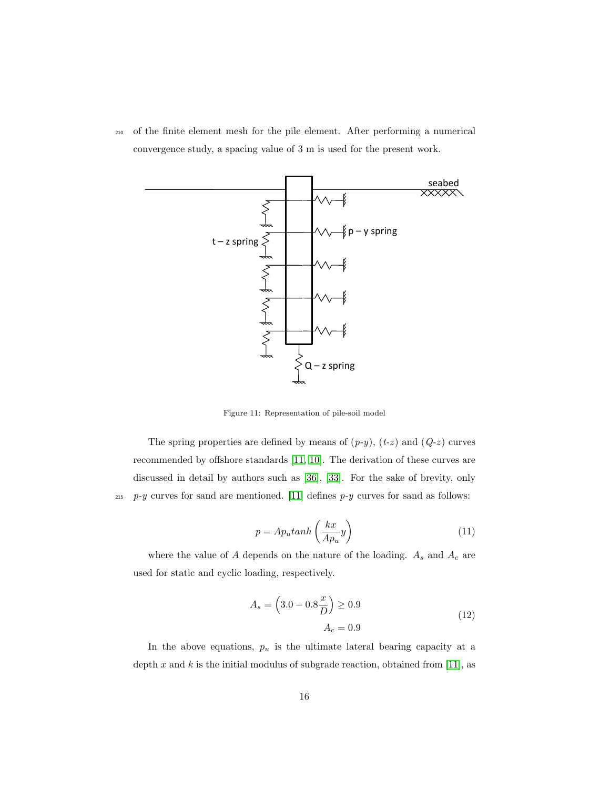<sup>210</sup> of the finite element mesh for the pile element. After performing a numerical convergence study, a spacing value of 3 m is used for the present work.



<span id="page-15-0"></span>Figure 11: Representation of pile-soil model

The spring properties are defined by means of  $(p-y)$ ,  $(t-z)$  and  $(Q-z)$  curves recommended by offshore standards [\[11,](#page-31-2) [10\]](#page-31-1). The derivation of these curves are discussed in detail by authors such as [\[36\]](#page-33-6), [\[33\]](#page-33-3). For the sake of brevity, only <sup>215</sup> p-y curves for sand are mentioned. [\[11\]](#page-31-2) defines p-y curves for sand as follows:

$$
p = Apu tanh\left(\frac{kx}{Ap_u}y\right)
$$
\n(11)

where the value of  $A$  depends on the nature of the loading.  $A_s$  and  $A_c$  are used for static and cyclic loading, respectively.

$$
A_s = \left(3.0 - 0.8\frac{x}{D}\right) \ge 0.9
$$
  

$$
A_c = 0.9
$$
 (12)

In the above equations,  $p_u$  is the ultimate lateral bearing capacity at a depth x and k is the initial modulus of subgrade reaction, obtained from [\[11\]](#page-31-2), as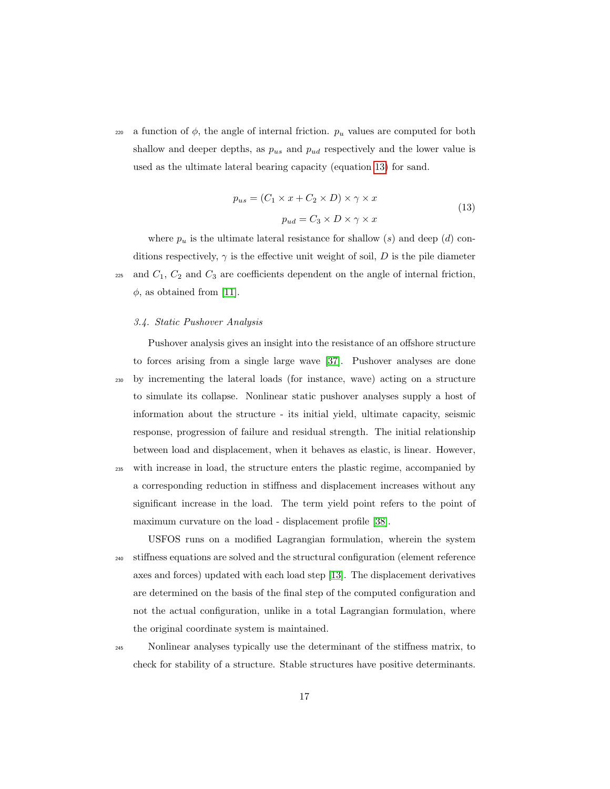<span id="page-16-0"></span>220 a function of  $\phi$ , the angle of internal friction.  $p_u$  values are computed for both shallow and deeper depths, as  $p_{us}$  and  $p_{ud}$  respectively and the lower value is used as the ultimate lateral bearing capacity (equation [13\)](#page-16-0) for sand.

$$
p_{us} = (C_1 \times x + C_2 \times D) \times \gamma \times x
$$
  
\n
$$
p_{ud} = C_3 \times D \times \gamma \times x
$$
\n(13)

where  $p_u$  is the ultimate lateral resistance for shallow (s) and deep (d) conditions respectively,  $\gamma$  is the effective unit weight of soil, D is the pile diameter <sup>225</sup> and  $C_1$ ,  $C_2$  and  $C_3$  are coefficients dependent on the angle of internal friction,  $\phi$ , as obtained from [\[11\]](#page-31-2).

#### 3.4. Static Pushover Analysis

Pushover analysis gives an insight into the resistance of an offshore structure to forces arising from a single large wave [\[37\]](#page-33-7). Pushover analyses are done <sup>230</sup> by incrementing the lateral loads (for instance, wave) acting on a structure to simulate its collapse. Nonlinear static pushover analyses supply a host of information about the structure - its initial yield, ultimate capacity, seismic response, progression of failure and residual strength. The initial relationship between load and displacement, when it behaves as elastic, is linear. However, <sup>235</sup> with increase in load, the structure enters the plastic regime, accompanied by a corresponding reduction in stiffness and displacement increases without any significant increase in the load. The term yield point refers to the point of maximum curvature on the load - displacement profile [\[38\]](#page-33-8).

USFOS runs on a modified Lagrangian formulation, wherein the system <sup>240</sup> stiffness equations are solved and the structural configuration (element reference axes and forces) updated with each load step [\[13\]](#page-31-4). The displacement derivatives are determined on the basis of the final step of the computed configuration and not the actual configuration, unlike in a total Lagrangian formulation, where the original coordinate system is maintained.

<sup>245</sup> Nonlinear analyses typically use the determinant of the stiffness matrix, to check for stability of a structure. Stable structures have positive determinants.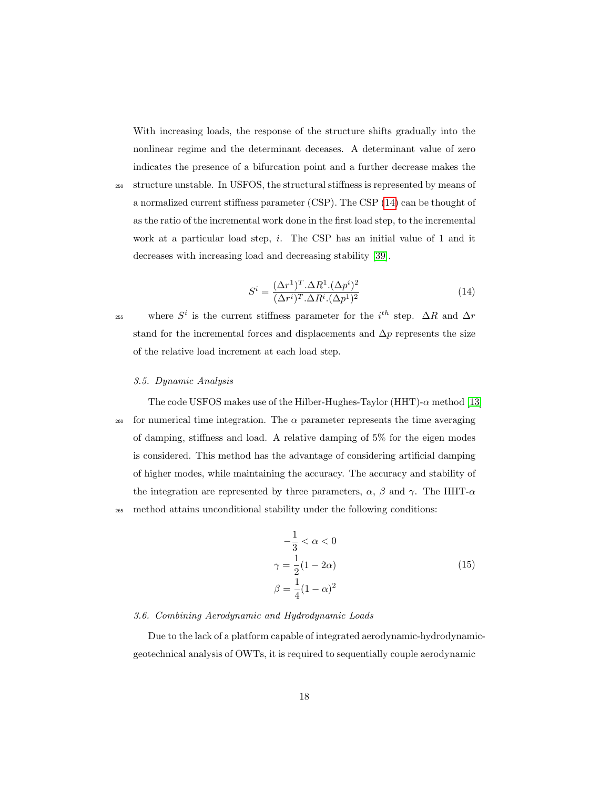With increasing loads, the response of the structure shifts gradually into the nonlinear regime and the determinant deceases. A determinant value of zero indicates the presence of a bifurcation point and a further decrease makes the

<sup>250</sup> structure unstable. In USFOS, the structural stiffness is represented by means of a normalized current stiffness parameter (CSP). The CSP [\(14\)](#page-17-0) can be thought of as the ratio of the incremental work done in the first load step, to the incremental work at a particular load step, *i*. The CSP has an initial value of 1 and it decreases with increasing load and decreasing stability [\[39\]](#page-34-0).

$$
S^i = \frac{(\Delta r^1)^T . \Delta R^1 . (\Delta p^i)^2}{(\Delta r^i)^T . \Delta R^i . (\Delta p^1)^2}
$$
\n(14)

<span id="page-17-0"></span><sup>255</sup> where  $S^i$  is the current stiffness parameter for the i<sup>th</sup> step.  $\Delta R$  and  $\Delta r$ stand for the incremental forces and displacements and  $\Delta p$  represents the size of the relative load increment at each load step.

#### 3.5. Dynamic Analysis

The code USFOS makes use of the Hilber-Hughes-Taylor (HHT)- $\alpha$  method [\[13\]](#page-31-4) <sup>260</sup> for numerical time integration. The  $\alpha$  parameter represents the time averaging of damping, stiffness and load. A relative damping of 5% for the eigen modes is considered. This method has the advantage of considering artificial damping of higher modes, while maintaining the accuracy. The accuracy and stability of the integration are represented by three parameters,  $\alpha$ ,  $\beta$  and  $\gamma$ . The HHT- $\alpha$ <sup>265</sup> method attains unconditional stability under the following conditions:

$$
-\frac{1}{3} < \alpha < 0
$$
\n
$$
\gamma = \frac{1}{2}(1 - 2\alpha)
$$
\n
$$
\beta = \frac{1}{4}(1 - \alpha)^2
$$
\n(15)

#### 3.6. Combining Aerodynamic and Hydrodynamic Loads

Due to the lack of a platform capable of integrated aerodynamic-hydrodynamicgeotechnical analysis of OWTs, it is required to sequentially couple aerodynamic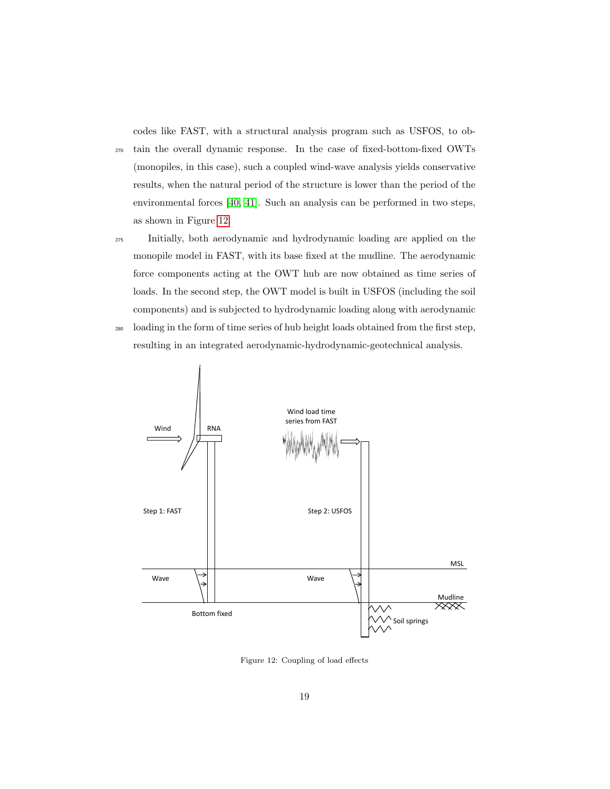codes like FAST, with a structural analysis program such as USFOS, to ob-

<sup>270</sup> tain the overall dynamic response. In the case of fixed-bottom-fixed OWTs (monopiles, in this case), such a coupled wind-wave analysis yields conservative results, when the natural period of the structure is lower than the period of the environmental forces [\[40,](#page-34-1) [41\]](#page-34-2). Such an analysis can be performed in two steps, as shown in Figure [12.](#page-18-0)

<sup>275</sup> Initially, both aerodynamic and hydrodynamic loading are applied on the monopile model in FAST, with its base fixed at the mudline. The aerodynamic force components acting at the OWT hub are now obtained as time series of loads. In the second step, the OWT model is built in USFOS (including the soil components) and is subjected to hydrodynamic loading along with aerodynamic

<sup>280</sup> loading in the form of time series of hub height loads obtained from the first step, resulting in an integrated aerodynamic-hydrodynamic-geotechnical analysis.



<span id="page-18-0"></span>Figure 12: Coupling of load effects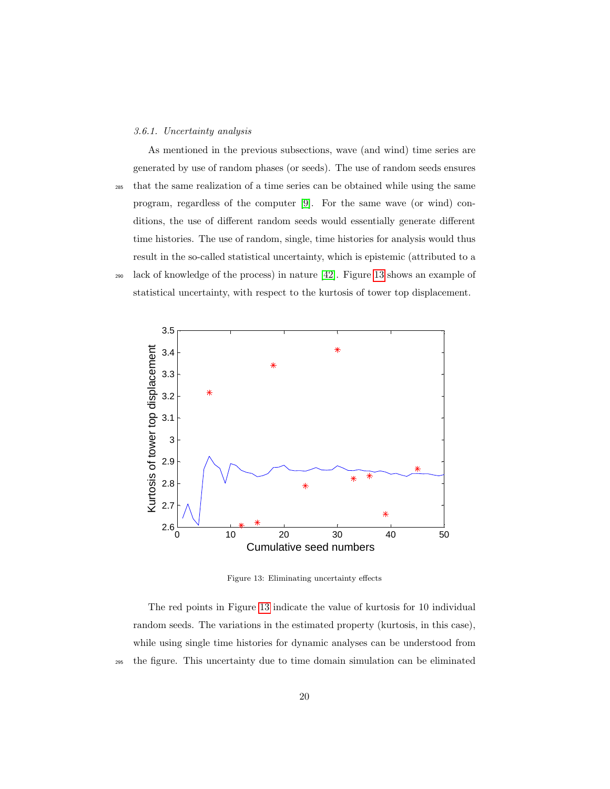#### 3.6.1. Uncertainty analysis

As mentioned in the previous subsections, wave (and wind) time series are generated by use of random phases (or seeds). The use of random seeds ensures <sup>285</sup> that the same realization of a time series can be obtained while using the same program, regardless of the computer [\[9\]](#page-31-0). For the same wave (or wind) conditions, the use of different random seeds would essentially generate different time histories. The use of random, single, time histories for analysis would thus result in the so-called statistical uncertainty, which is epistemic (attributed to a <sup>290</sup> lack of knowledge of the process) in nature [\[42\]](#page-34-3). Figure [13](#page-19-0) shows an example of statistical uncertainty, with respect to the kurtosis of tower top displacement.



<span id="page-19-0"></span>Figure 13: Eliminating uncertainty effects

The red points in Figure [13](#page-19-0) indicate the value of kurtosis for 10 individual random seeds. The variations in the estimated property (kurtosis, in this case), while using single time histories for dynamic analyses can be understood from <sup>295</sup> the figure. This uncertainty due to time domain simulation can be eliminated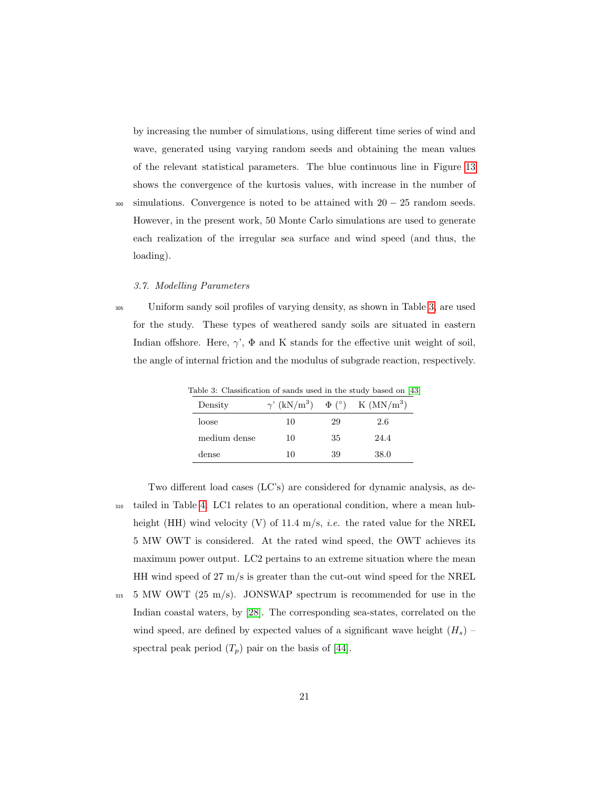by increasing the number of simulations, using different time series of wind and wave, generated using varying random seeds and obtaining the mean values of the relevant statistical parameters. The blue continuous line in Figure [13](#page-19-0) shows the convergence of the kurtosis values, with increase in the number of

 $300$  simulations. Convergence is noted to be attained with  $20 - 25$  random seeds. However, in the present work, 50 Monte Carlo simulations are used to generate each realization of the irregular sea surface and wind speed (and thus, the loading).

#### 3.7. Modelling Parameters

<sup>305</sup> Uniform sandy soil profiles of varying density, as shown in Table [3,](#page-20-0) are used for the study. These types of weathered sandy soils are situated in eastern Indian offshore. Here,  $\gamma'$ ,  $\Phi$  and K stands for the effective unit weight of soil, the angle of internal friction and the modulus of subgrade reaction, respectively.

<span id="page-20-0"></span>

| Lable 3: Classincation of sands used in the study based on 14 |    |    |                                                                  |
|---------------------------------------------------------------|----|----|------------------------------------------------------------------|
| Density                                                       |    |    | $\gamma'$ (kN/m <sup>3</sup> ) $\Phi$ (°) K (MN/m <sup>3</sup> ) |
| loose                                                         | 10 | 29 | 2.6                                                              |
| medium dense                                                  | 10 | 35 | 24.4                                                             |
| dense                                                         | 10 | 39 | 38.0                                                             |

Table 3: Classification of sands used in the study based on [\[43\]](#page-34-4)

Two different load cases (LC's) are considered for dynamic analysis, as de-<sup>310</sup> tailed in Table [4.](#page-21-0) LC1 relates to an operational condition, where a mean hubheight (HH) wind velocity (V) of 11.4 m/s, *i.e.* the rated value for the NREL 5 MW OWT is considered. At the rated wind speed, the OWT achieves its maximum power output. LC2 pertains to an extreme situation where the mean HH wind speed of 27 m/s is greater than the cut-out wind speed for the NREL

 $315$  5 MW OWT (25 m/s). JONSWAP spectrum is recommended for use in the Indian coastal waters, by [\[28\]](#page-32-9). The corresponding sea-states, correlated on the wind speed, are defined by expected values of a significant wave height  $(H_s)$  – spectral peak period  $(T_p)$  pair on the basis of [\[44\]](#page-34-5).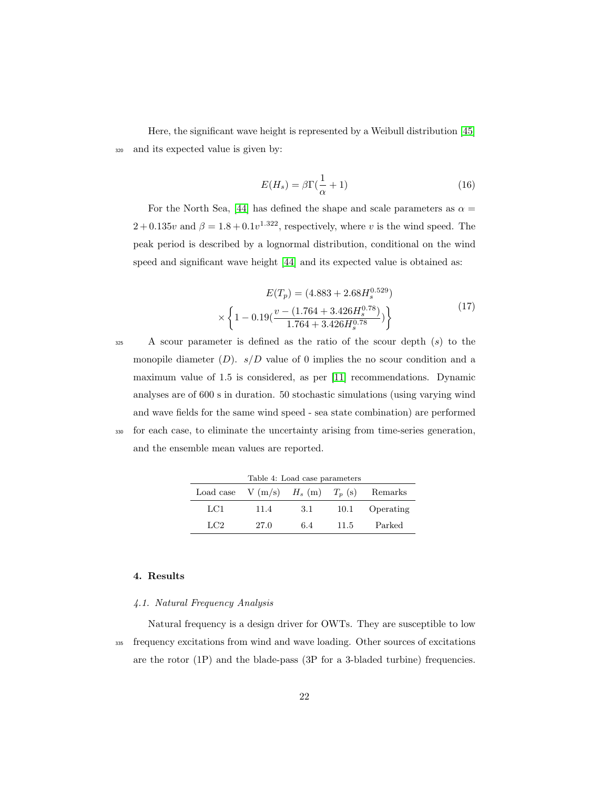Here, the significant wave height is represented by a Weibull distribution [\[45\]](#page-34-6) <sup>320</sup> and its expected value is given by:

$$
E(H_s) = \beta \Gamma(\frac{1}{\alpha} + 1) \tag{16}
$$

For the North Sea, [\[44\]](#page-34-5) has defined the shape and scale parameters as  $\alpha =$  $2 + 0.135v$  and  $\beta = 1.8 + 0.1v^{1.322}$ , respectively, where v is the wind speed. The peak period is described by a lognormal distribution, conditional on the wind speed and significant wave height [\[44\]](#page-34-5) and its expected value is obtained as:

$$
E(T_p) = (4.883 + 2.68H_s^{0.529})
$$
  
 
$$
\times \left\{ 1 - 0.19 \left( \frac{v - (1.764 + 3.426H_s^{0.78})}{1.764 + 3.426H_s^{0.78}} \right) \right\}
$$
 (17)

A scour parameter is defined as the ratio of the scour depth  $(s)$  to the monopile diameter  $(D)$ .  $s/D$  value of 0 implies the no scour condition and a maximum value of 1.5 is considered, as per [\[11\]](#page-31-2) recommendations. Dynamic analyses are of 600 s in duration. 50 stochastic simulations (using varying wind and wave fields for the same wind speed - sea state combination) are performed <sup>330</sup> for each case, to eliminate the uncertainty arising from time-series generation, and the ensemble mean values are reported.

<span id="page-21-0"></span>

| Table 4: Load case parameters |                                      |     |      |           |
|-------------------------------|--------------------------------------|-----|------|-----------|
|                               | Load case $V(m/s)$ $H_s(m)$ $T_p(s)$ |     |      | Remarks   |
| LC1                           | 11.4                                 | 3.1 | 10.1 | Operating |
| LC <sub>2</sub>               | 27.0                                 | 6.4 | 11.5 | Parked    |

## 4. Results

#### 4.1. Natural Frequency Analysis

Natural frequency is a design driver for OWTs. They are susceptible to low <sup>335</sup> frequency excitations from wind and wave loading. Other sources of excitations are the rotor (1P) and the blade-pass (3P for a 3-bladed turbine) frequencies.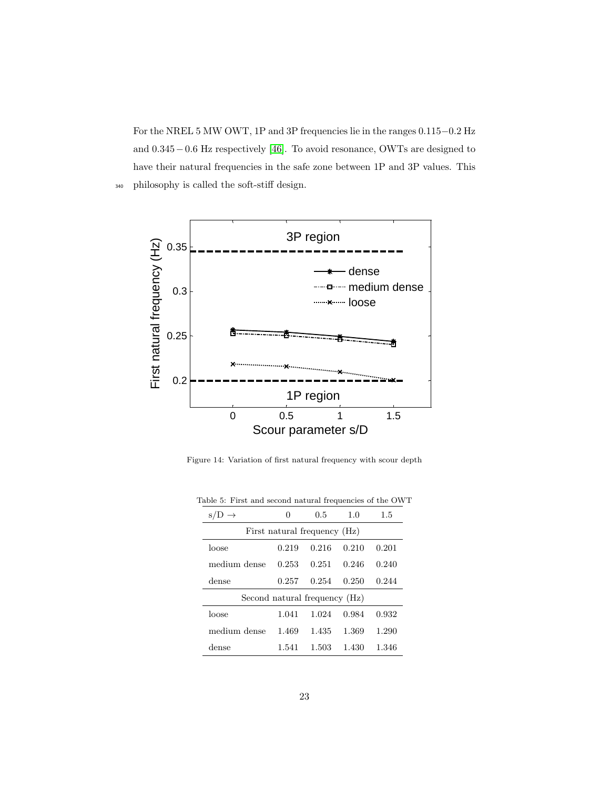For the NREL 5 MW OWT, 1P and 3P frequencies lie in the ranges 0.115−0.2 Hz and 0.345−0.6 Hz respectively [\[46\]](#page-34-7). To avoid resonance, OWTs are designed to have their natural frequencies in the safe zone between 1P and 3P values. This <sup>340</sup> philosophy is called the soft-stiff design.



<span id="page-22-0"></span>Figure 14: Variation of first natural frequency with scour depth

<span id="page-22-1"></span>

| $s/D \rightarrow$             | $\mathbf{0}$                 | 0.5   | 1.0   | 1.5   |  |  |  |
|-------------------------------|------------------------------|-------|-------|-------|--|--|--|
|                               | First natural frequency (Hz) |       |       |       |  |  |  |
| loose                         | 0.219                        | 0.216 | 0.210 | 0.201 |  |  |  |
| medium dense                  | 0.253                        | 0.251 | 0.246 | 0.240 |  |  |  |
| dense                         | 0.257                        | 0.254 | 0.250 | 0.244 |  |  |  |
| Second natural frequency (Hz) |                              |       |       |       |  |  |  |
| loose                         | 1.041                        | 1.024 | 0.984 | 0.932 |  |  |  |
| medium dense                  | 1.469                        | 1.435 | 1.369 | 1.290 |  |  |  |
| dense                         | 1.541                        | 1.503 | 1.430 | 1.346 |  |  |  |

Table 5: First and second natural frequencies of the OWT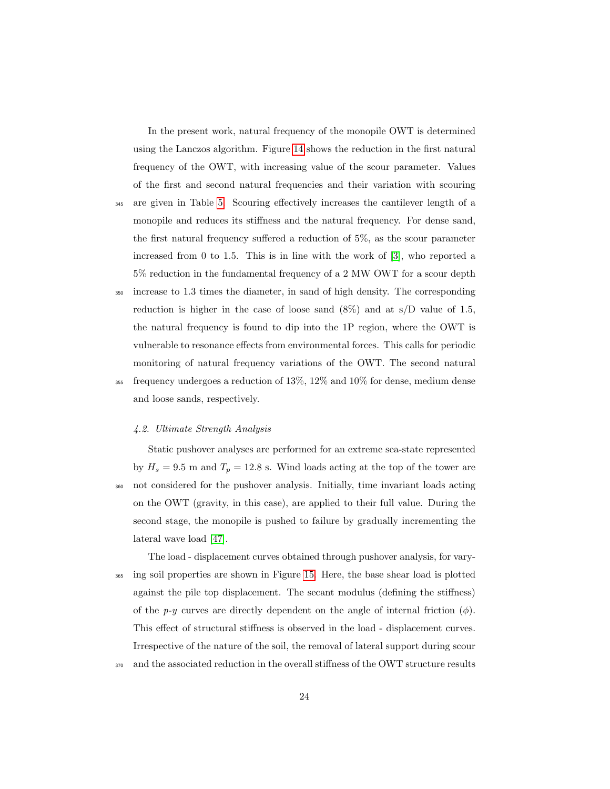In the present work, natural frequency of the monopile OWT is determined using the Lanczos algorithm. Figure [14](#page-22-0) shows the reduction in the first natural frequency of the OWT, with increasing value of the scour parameter. Values of the first and second natural frequencies and their variation with scouring

- <sup>345</sup> are given in Table [5.](#page-22-1) Scouring effectively increases the cantilever length of a monopile and reduces its stiffness and the natural frequency. For dense sand, the first natural frequency suffered a reduction of 5%, as the scour parameter increased from 0 to 1.5. This is in line with the work of [\[3\]](#page-30-2), who reported a 5% reduction in the fundamental frequency of a 2 MW OWT for a scour depth
- <sup>350</sup> increase to 1.3 times the diameter, in sand of high density. The corresponding reduction is higher in the case of loose sand  $(8\%)$  and at s/D value of 1.5, the natural frequency is found to dip into the 1P region, where the OWT is vulnerable to resonance effects from environmental forces. This calls for periodic monitoring of natural frequency variations of the OWT. The second natural <sup>355</sup> frequency undergoes a reduction of 13%, 12% and 10% for dense, medium dense and loose sands, respectively.

#### 4.2. Ultimate Strength Analysis

Static pushover analyses are performed for an extreme sea-state represented by  $H_s = 9.5$  m and  $T_p = 12.8$  s. Wind loads acting at the top of the tower are <sup>360</sup> not considered for the pushover analysis. Initially, time invariant loads acting on the OWT (gravity, in this case), are applied to their full value. During the second stage, the monopile is pushed to failure by gradually incrementing the lateral wave load [\[47\]](#page-35-0).

The load - displacement curves obtained through pushover analysis, for vary-<sup>365</sup> ing soil properties are shown in Figure [15.](#page-24-0) Here, the base shear load is plotted against the pile top displacement. The secant modulus (defining the stiffness) of the p-y curves are directly dependent on the angle of internal friction  $(\phi)$ . This effect of structural stiffness is observed in the load - displacement curves. Irrespective of the nature of the soil, the removal of lateral support during scour

370 and the associated reduction in the overall stiffness of the OWT structure results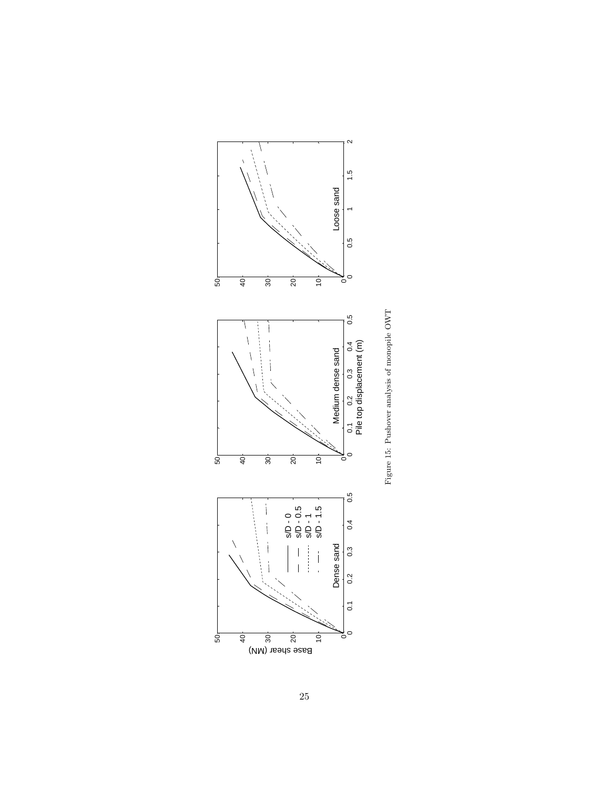<span id="page-24-0"></span>

Figure 15: Pushover analysis of monopile  $\rm OWT$ Figure 15: Pushover analysis of monopile OWT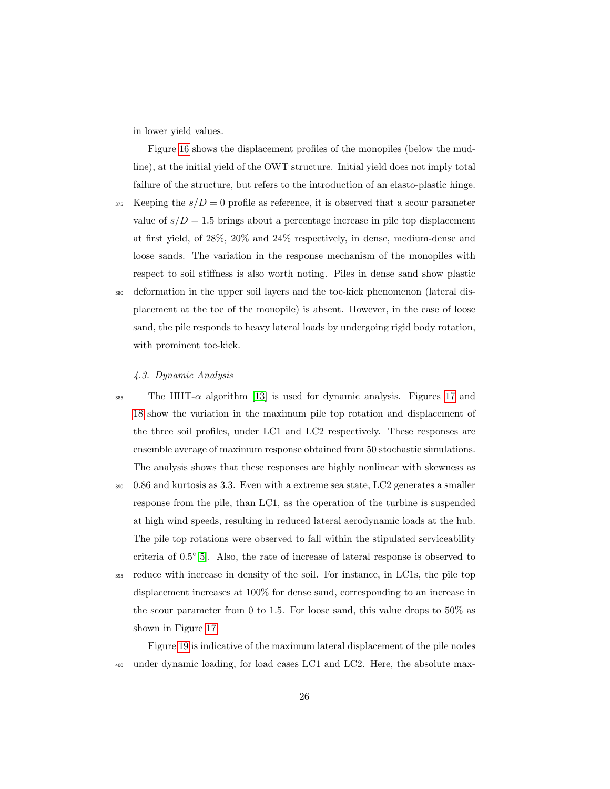in lower yield values.

Figure [16](#page-26-0) shows the displacement profiles of the monopiles (below the mudline), at the initial yield of the OWT structure. Initial yield does not imply total failure of the structure, but refers to the introduction of an elasto-plastic hinge.

 $375$  Keeping the  $s/D = 0$  profile as reference, it is observed that a scour parameter value of  $s/D = 1.5$  brings about a percentage increase in pile top displacement at first yield, of 28%, 20% and 24% respectively, in dense, medium-dense and loose sands. The variation in the response mechanism of the monopiles with respect to soil stiffness is also worth noting. Piles in dense sand show plastic <sup>380</sup> deformation in the upper soil layers and the toe-kick phenomenon (lateral displacement at the toe of the monopile) is absent. However, in the case of loose sand, the pile responds to heavy lateral loads by undergoing rigid body rotation,

## with prominent toe-kick.

#### 4.3. Dynamic Analysis

- 385 The HHT- $\alpha$  algorithm [\[13\]](#page-31-4) is used for dynamic analysis. Figures [17](#page-27-0) and [18](#page-27-1) show the variation in the maximum pile top rotation and displacement of the three soil profiles, under LC1 and LC2 respectively. These responses are ensemble average of maximum response obtained from 50 stochastic simulations. The analysis shows that these responses are highly nonlinear with skewness as
- <sup>390</sup> 0.86 and kurtosis as 3.3. Even with a extreme sea state, LC2 generates a smaller response from the pile, than LC1, as the operation of the turbine is suspended at high wind speeds, resulting in reduced lateral aerodynamic loads at the hub. The pile top rotations were observed to fall within the stipulated serviceability criteria of  $0.5^{\circ}$ [\[5\]](#page-30-4). Also, the rate of increase of lateral response is observed to
- <sup>395</sup> reduce with increase in density of the soil. For instance, in LC1s, the pile top displacement increases at 100% for dense sand, corresponding to an increase in the scour parameter from 0 to 1.5. For loose sand, this value drops to  $50\%$  as shown in Figure [17.](#page-27-0)

Figure [19](#page-29-0) is indicative of the maximum lateral displacement of the pile nodes <sup>400</sup> under dynamic loading, for load cases LC1 and LC2. Here, the absolute max-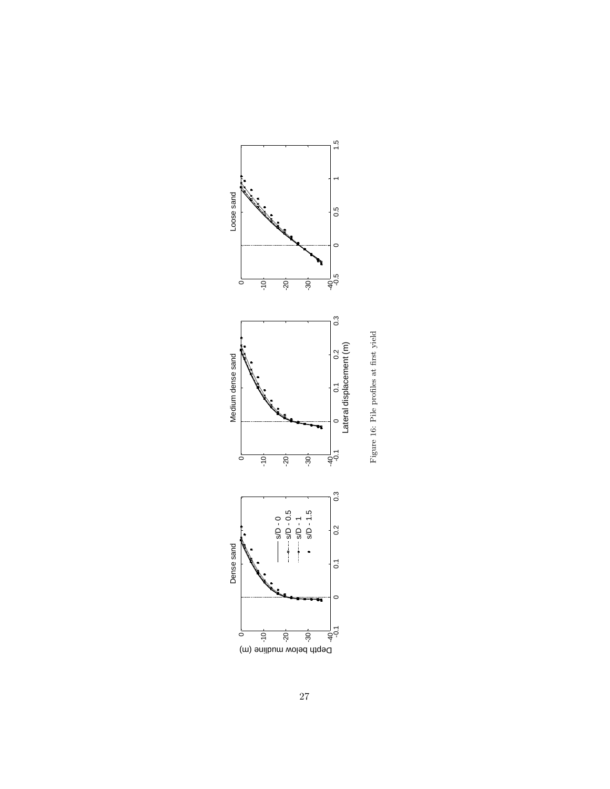<span id="page-26-0"></span>

Figure 16: Pile profiles at first yield Figure 16: Pile profiles at first yield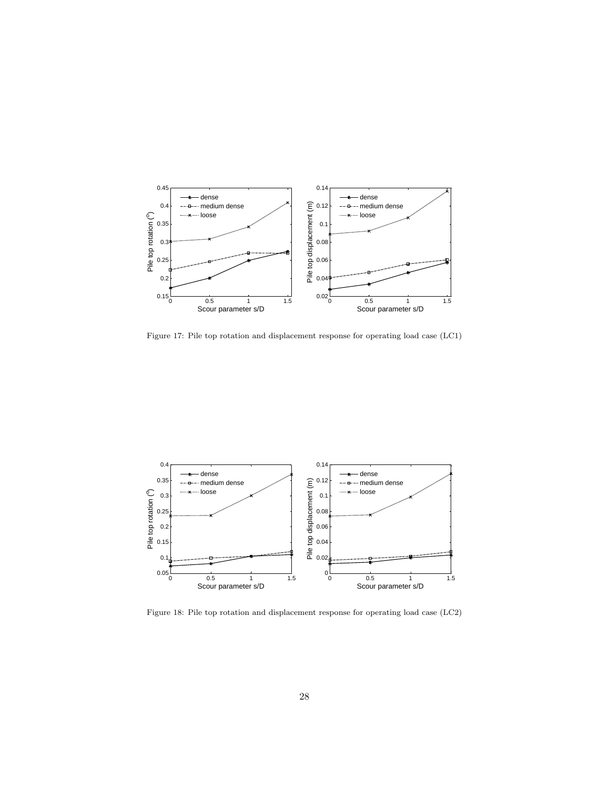

<span id="page-27-0"></span>Figure 17: Pile top rotation and displacement response for operating load case (LC1)

![](_page_27_Figure_2.jpeg)

<span id="page-27-1"></span>Figure 18: Pile top rotation and displacement response for operating load case (LC2)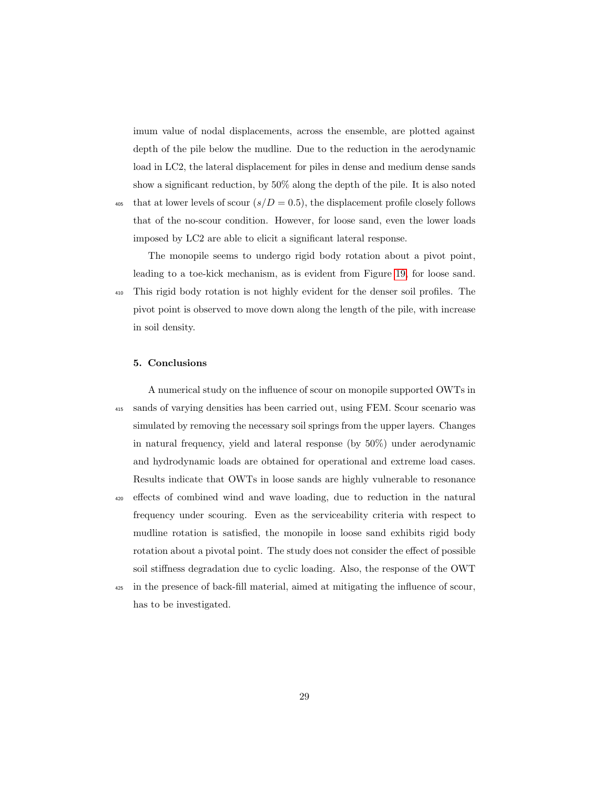imum value of nodal displacements, across the ensemble, are plotted against depth of the pile below the mudline. Due to the reduction in the aerodynamic load in LC2, the lateral displacement for piles in dense and medium dense sands show a significant reduction, by 50% along the depth of the pile. It is also noted 405 that at lower levels of scour  $(s/D = 0.5)$ , the displacement profile closely follows

that of the no-scour condition. However, for loose sand, even the lower loads imposed by LC2 are able to elicit a significant lateral response.

The monopile seems to undergo rigid body rotation about a pivot point, leading to a toe-kick mechanism, as is evident from Figure [19,](#page-29-0) for loose sand. <sup>410</sup> This rigid body rotation is not highly evident for the denser soil profiles. The pivot point is observed to move down along the length of the pile, with increase in soil density.

#### 5. Conclusions

A numerical study on the influence of scour on monopile supported OWTs in <sup>415</sup> sands of varying densities has been carried out, using FEM. Scour scenario was simulated by removing the necessary soil springs from the upper layers. Changes in natural frequency, yield and lateral response (by 50%) under aerodynamic and hydrodynamic loads are obtained for operational and extreme load cases. Results indicate that OWTs in loose sands are highly vulnerable to resonance <sup>420</sup> effects of combined wind and wave loading, due to reduction in the natural frequency under scouring. Even as the serviceability criteria with respect to mudline rotation is satisfied, the monopile in loose sand exhibits rigid body rotation about a pivotal point. The study does not consider the effect of possible soil stiffness degradation due to cyclic loading. Also, the response of the OWT

<sup>425</sup> in the presence of back-fill material, aimed at mitigating the influence of scour, has to be investigated.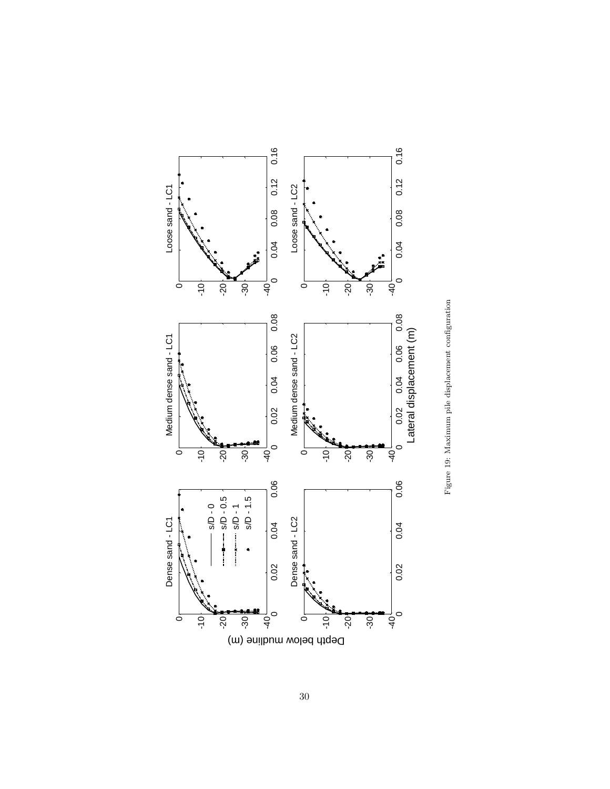<span id="page-29-0"></span>![](_page_29_Figure_0.jpeg)

![](_page_29_Figure_1.jpeg)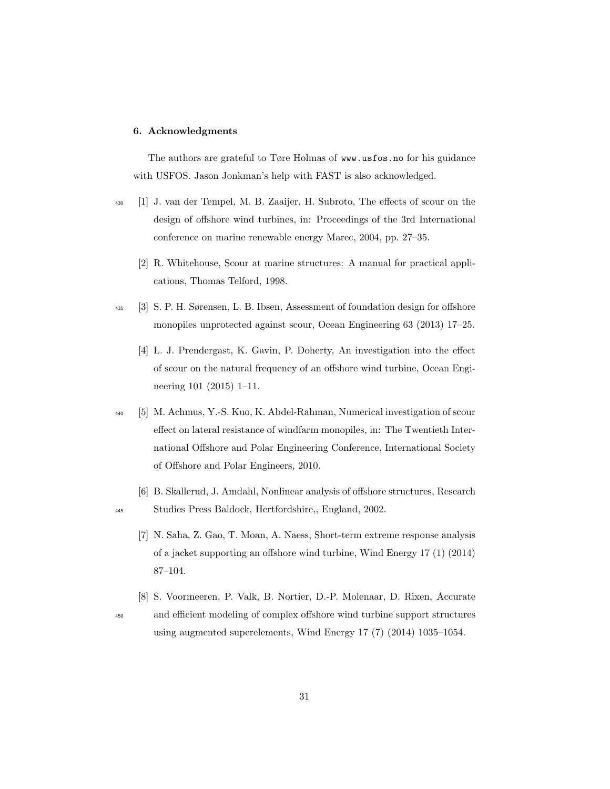#### 6. Acknowledgments

The authors are grateful to Tøre Holmas of www.usfos.no for his guidance with USFOS. Jason Jonkman's help with FAST is also acknowledged.

- <span id="page-30-1"></span><span id="page-30-0"></span><sup>430</sup> [1] J. van der Tempel, M. B. Zaaijer, H. Subroto, The effects of scour on the design of offshore wind turbines, in: Proceedings of the 3rd International conference on marine renewable energy Marec, 2004, pp. 27–35.
	- [2] R. Whitehouse, Scour at marine structures: A manual for practical applications, Thomas Telford, 1998.
- <span id="page-30-3"></span><span id="page-30-2"></span><sup>435</sup> [3] S. P. H. Sørensen, L. B. Ibsen, Assessment of foundation design for offshore monopiles unprotected against scour, Ocean Engineering 63 (2013) 17–25.
	- [4] L. J. Prendergast, K. Gavin, P. Doherty, An investigation into the effect of scour on the natural frequency of an offshore wind turbine, Ocean Engineering 101 (2015) 1–11.
- <span id="page-30-4"></span><sup>440</sup> [5] M. Achmus, Y.-S. Kuo, K. Abdel-Rahman, Numerical investigation of scour effect on lateral resistance of windfarm monopiles, in: The Twentieth International Offshore and Polar Engineering Conference, International Society of Offshore and Polar Engineers, 2010.
- <span id="page-30-6"></span><span id="page-30-5"></span>[6] B. Skallerud, J. Amdahl, Nonlinear analysis of offshore structures, Research <sup>445</sup> Studies Press Baldock, Hertfordshire,, England, 2002.
	- [7] N. Saha, Z. Gao, T. Moan, A. Naess, Short-term extreme response analysis of a jacket supporting an offshore wind turbine, Wind Energy 17 (1) (2014) 87–104.
- <span id="page-30-7"></span>[8] S. Voormeeren, P. Valk, B. Nortier, D.-P. Molenaar, D. Rixen, Accurate <sup>450</sup> and efficient modeling of complex offshore wind turbine support structures using augmented superelements, Wind Energy 17 (7) (2014) 1035–1054.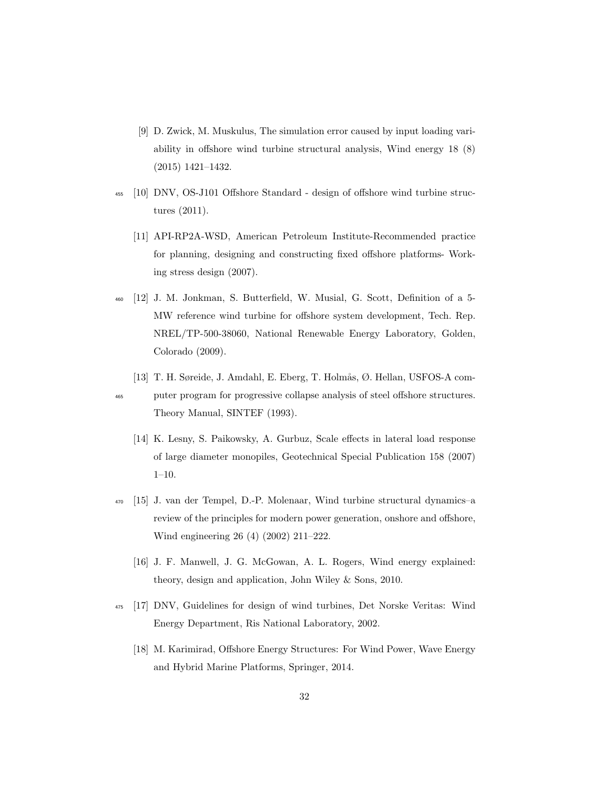- <span id="page-31-0"></span>[9] D. Zwick, M. Muskulus, The simulation error caused by input loading variability in offshore wind turbine structural analysis, Wind energy 18 (8) (2015) 1421–1432.
- <span id="page-31-2"></span><span id="page-31-1"></span><sup>455</sup> [10] DNV, OS-J101 Offshore Standard - design of offshore wind turbine structures (2011).
	- [11] API-RP2A-WSD, American Petroleum Institute-Recommended practice for planning, designing and constructing fixed offshore platforms- Working stress design (2007).
- <span id="page-31-3"></span><sup>460</sup> [12] J. M. Jonkman, S. Butterfield, W. Musial, G. Scott, Definition of a 5- MW reference wind turbine for offshore system development, Tech. Rep. NREL/TP-500-38060, National Renewable Energy Laboratory, Golden, Colorado (2009).
- <span id="page-31-5"></span><span id="page-31-4"></span>[13] T. H. Søreide, J. Amdahl, E. Eberg, T. Holmås, Ø. Hellan, USFOS-A com-<sup>465</sup> puter program for progressive collapse analysis of steel offshore structures. Theory Manual, SINTEF (1993).
	- [14] K. Lesny, S. Paikowsky, A. Gurbuz, Scale effects in lateral load response of large diameter monopiles, Geotechnical Special Publication 158 (2007)  $1-10.$
- <span id="page-31-7"></span><span id="page-31-6"></span><sup>470</sup> [15] J. van der Tempel, D.-P. Molenaar, Wind turbine structural dynamics–a review of the principles for modern power generation, onshore and offshore, Wind engineering 26 (4) (2002) 211–222.
	- [16] J. F. Manwell, J. G. McGowan, A. L. Rogers, Wind energy explained: theory, design and application, John Wiley & Sons, 2010.
- <span id="page-31-9"></span><span id="page-31-8"></span><sup>475</sup> [17] DNV, Guidelines for design of wind turbines, Det Norske Veritas: Wind Energy Department, Ris National Laboratory, 2002.
	- [18] M. Karimirad, Offshore Energy Structures: For Wind Power, Wave Energy and Hybrid Marine Platforms, Springer, 2014.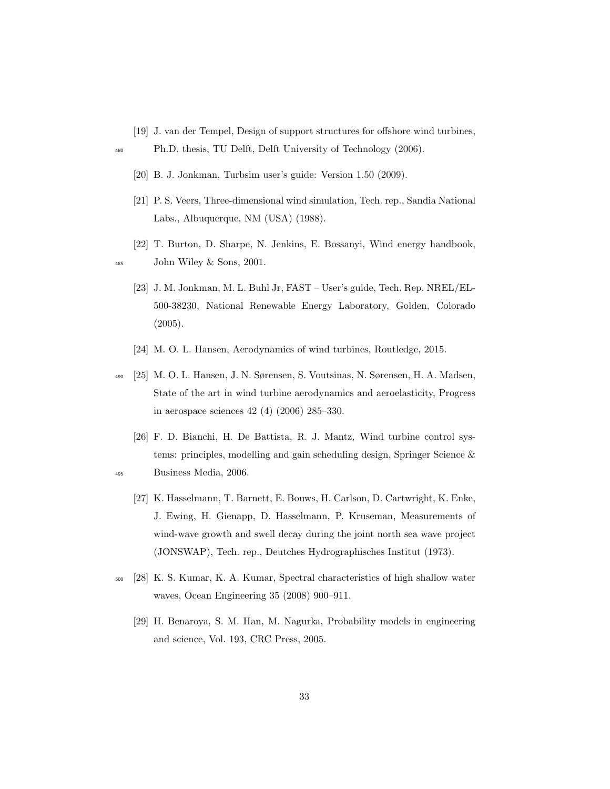- <span id="page-32-0"></span>[19] J. van der Tempel, Design of support structures for offshore wind turbines,
- <span id="page-32-2"></span><span id="page-32-1"></span><sup>480</sup> Ph.D. thesis, TU Delft, Delft University of Technology (2006).
	- [20] B. J. Jonkman, Turbsim user's guide: Version 1.50 (2009).
	- [21] P. S. Veers, Three-dimensional wind simulation, Tech. rep., Sandia National Labs., Albuquerque, NM (USA) (1988).
- <span id="page-32-4"></span><span id="page-32-3"></span>[22] T. Burton, D. Sharpe, N. Jenkins, E. Bossanyi, Wind energy handbook, <sup>485</sup> John Wiley & Sons, 2001.
	- [23] J. M. Jonkman, M. L. Buhl Jr, FAST User's guide, Tech. Rep. NREL/EL-500-38230, National Renewable Energy Laboratory, Golden, Colorado (2005).
	- [24] M. O. L. Hansen, Aerodynamics of wind turbines, Routledge, 2015.
- <span id="page-32-6"></span><span id="page-32-5"></span><sup>490</sup> [25] M. O. L. Hansen, J. N. Sørensen, S. Voutsinas, N. Sørensen, H. A. Madsen, State of the art in wind turbine aerodynamics and aeroelasticity, Progress in aerospace sciences 42 (4) (2006) 285–330.
- <span id="page-32-8"></span><span id="page-32-7"></span>[26] F. D. Bianchi, H. De Battista, R. J. Mantz, Wind turbine control systems: principles, modelling and gain scheduling design, Springer Science & <sup>495</sup> Business Media, 2006.
	- [27] K. Hasselmann, T. Barnett, E. Bouws, H. Carlson, D. Cartwright, K. Enke, J. Ewing, H. Gienapp, D. Hasselmann, P. Kruseman, Measurements of wind-wave growth and swell decay during the joint north sea wave project (JONSWAP), Tech. rep., Deutches Hydrographisches Institut (1973).
- <span id="page-32-10"></span><span id="page-32-9"></span><sup>500</sup> [28] K. S. Kumar, K. A. Kumar, Spectral characteristics of high shallow water waves, Ocean Engineering 35 (2008) 900–911.
	- [29] H. Benaroya, S. M. Han, M. Nagurka, Probability models in engineering and science, Vol. 193, CRC Press, 2005.

33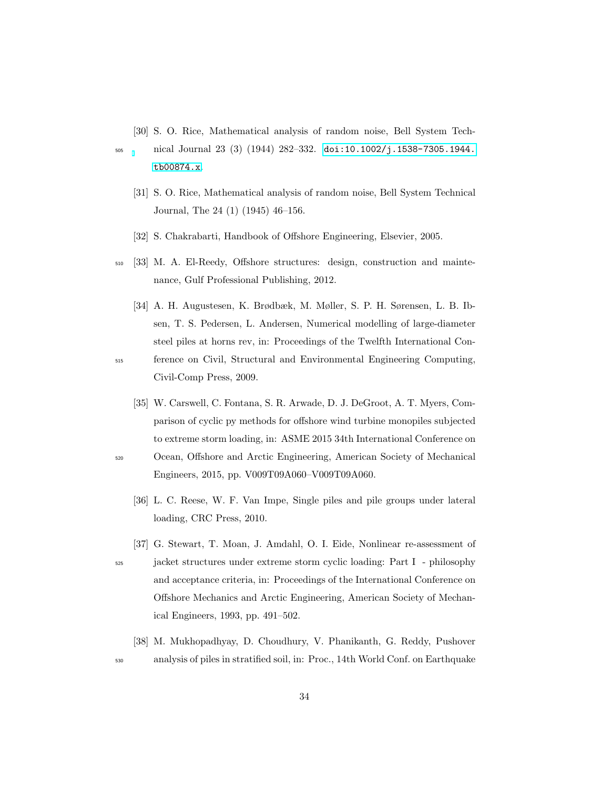- <span id="page-33-0"></span>[30] S. O. Rice, Mathematical analysis of random noise, Bell System Tech-
- <span id="page-33-1"></span><sup>505</sup> nical Journal 23 (3) (1944) 282–332. [doi:10.1002/j.1538-7305.1944.](http://dx.doi.org/10.1002/j.1538-7305.1944.tb00874.x) [tb00874.x](http://dx.doi.org/10.1002/j.1538-7305.1944.tb00874.x).
	- [31] S. O. Rice, Mathematical analysis of random noise, Bell System Technical Journal, The 24 (1) (1945) 46–156.
	- [32] S. Chakrabarti, Handbook of Offshore Engineering, Elsevier, 2005.
- <span id="page-33-3"></span><span id="page-33-2"></span><sup>510</sup> [33] M. A. El-Reedy, Offshore structures: design, construction and maintenance, Gulf Professional Publishing, 2012.
- <span id="page-33-4"></span>[34] A. H. Augustesen, K. Brødbæk, M. Møller, S. P. H. Sørensen, L. B. Ibsen, T. S. Pedersen, L. Andersen, Numerical modelling of large-diameter steel piles at horns rev, in: Proceedings of the Twelfth International Con-<sup>515</sup> ference on Civil, Structural and Environmental Engineering Computing,

<span id="page-33-5"></span>Civil-Comp Press, 2009.

- [35] W. Carswell, C. Fontana, S. R. Arwade, D. J. DeGroot, A. T. Myers, Comparison of cyclic py methods for offshore wind turbine monopiles subjected to extreme storm loading, in: ASME 2015 34th International Conference on <sup>520</sup> Ocean, Offshore and Arctic Engineering, American Society of Mechanical Engineers, 2015, pp. V009T09A060–V009T09A060.
	- [36] L. C. Reese, W. F. Van Impe, Single piles and pile groups under lateral loading, CRC Press, 2010.
	- [37] G. Stewart, T. Moan, J. Amdahl, O. I. Eide, Nonlinear re-assessment of
- <sup>525</sup> jacket structures under extreme storm cyclic loading: Part I philosophy and acceptance criteria, in: Proceedings of the International Conference on Offshore Mechanics and Arctic Engineering, American Society of Mechanical Engineers, 1993, pp. 491–502.
- <span id="page-33-8"></span>[38] M. Mukhopadhyay, D. Choudhury, V. Phanikanth, G. Reddy, Pushover <sup>530</sup> analysis of piles in stratified soil, in: Proc., 14th World Conf. on Earthquake

<span id="page-33-7"></span><span id="page-33-6"></span>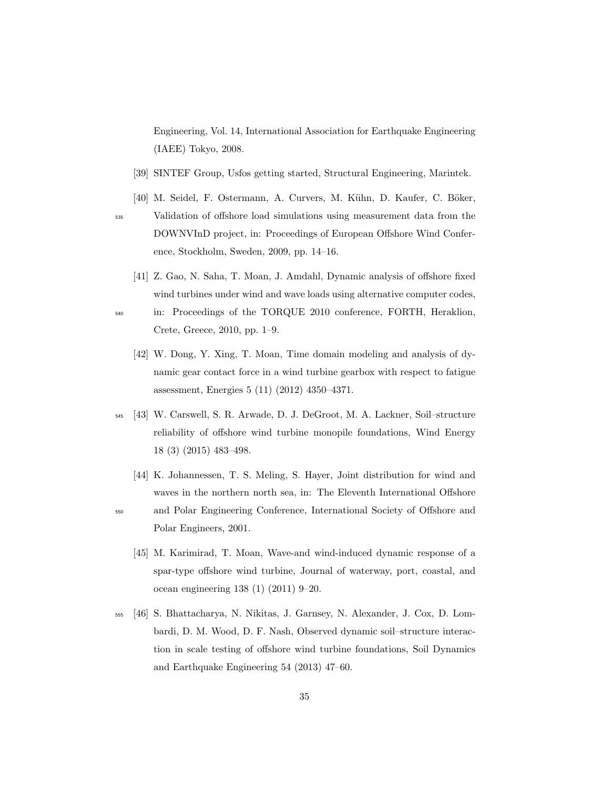Engineering, Vol. 14, International Association for Earthquake Engineering (IAEE) Tokyo, 2008.

- <span id="page-34-0"></span>[39] SINTEF Group, Usfos getting started, Structural Engineering, Marintek.
- <span id="page-34-1"></span>[40] M. Seidel, F. Ostermann, A. Curvers, M. Kühn, D. Kaufer, C. Böker,

- <sup>535</sup> Validation of offshore load simulations using measurement data from the DOWNVInD project, in: Proceedings of European Offshore Wind Conference, Stockholm, Sweden, 2009, pp. 14–16.
	- [41] Z. Gao, N. Saha, T. Moan, J. Amdahl, Dynamic analysis of offshore fixed wind turbines under wind and wave loads using alternative computer codes,
- <span id="page-34-3"></span><span id="page-34-2"></span><sup>540</sup> in: Proceedings of the TORQUE 2010 conference, FORTH, Heraklion, Crete, Greece, 2010, pp. 1–9.
	- [42] W. Dong, Y. Xing, T. Moan, Time domain modeling and analysis of dynamic gear contact force in a wind turbine gearbox with respect to fatigue assessment, Energies 5 (11) (2012) 4350–4371.
- <span id="page-34-4"></span><sup>545</sup> [43] W. Carswell, S. R. Arwade, D. J. DeGroot, M. A. Lackner, Soil–structure reliability of offshore wind turbine monopile foundations, Wind Energy 18 (3) (2015) 483–498.
	- [44] K. Johannessen, T. S. Meling, S. Hayer, Joint distribution for wind and waves in the northern north sea, in: The Eleventh International Offshore

<span id="page-34-6"></span>

- <span id="page-34-5"></span><sup>550</sup> and Polar Engineering Conference, International Society of Offshore and Polar Engineers, 2001.
	- [45] M. Karimirad, T. Moan, Wave-and wind-induced dynamic response of a spar-type offshore wind turbine, Journal of waterway, port, coastal, and ocean engineering 138 (1) (2011) 9–20.
- <span id="page-34-7"></span><sup>555</sup> [46] S. Bhattacharya, N. Nikitas, J. Garnsey, N. Alexander, J. Cox, D. Lombardi, D. M. Wood, D. F. Nash, Observed dynamic soil–structure interaction in scale testing of offshore wind turbine foundations, Soil Dynamics and Earthquake Engineering 54 (2013) 47–60.